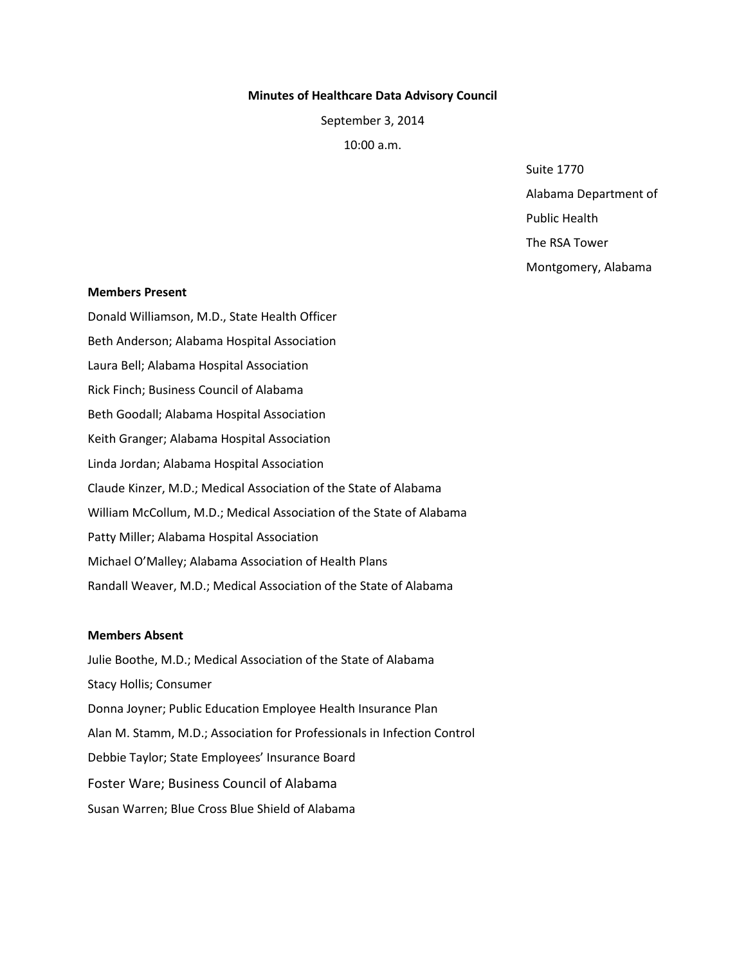#### **Minutes of Healthcare Data Advisory Council**

September 3, 2014

10:00 a.m.

Suite 1770

Alabama Department of

Public Health

The RSA Tower

Montgomery, Alabama

#### **Members Present**

Donald Williamson, M.D., State Health Officer Beth Anderson; Alabama Hospital Association Laura Bell; Alabama Hospital Association Rick Finch; Business Council of Alabama Beth Goodall; Alabama Hospital Association Keith Granger; Alabama Hospital Association Linda Jordan; Alabama Hospital Association Claude Kinzer, M.D.; Medical Association of the State of Alabama William McCollum, M.D.; Medical Association of the State of Alabama Patty Miller; Alabama Hospital Association Michael O'Malley; Alabama Association of Health Plans Randall Weaver, M.D.; Medical Association of the State of Alabama

## **Members Absent**

Julie Boothe, M.D.; Medical Association of the State of Alabama Stacy Hollis; Consumer Donna Joyner; Public Education Employee Health Insurance Plan Alan M. Stamm, M.D.; Association for Professionals in Infection Control Debbie Taylor; State Employees' Insurance Board Foster Ware; Business Council of Alabama Susan Warren; Blue Cross Blue Shield of Alabama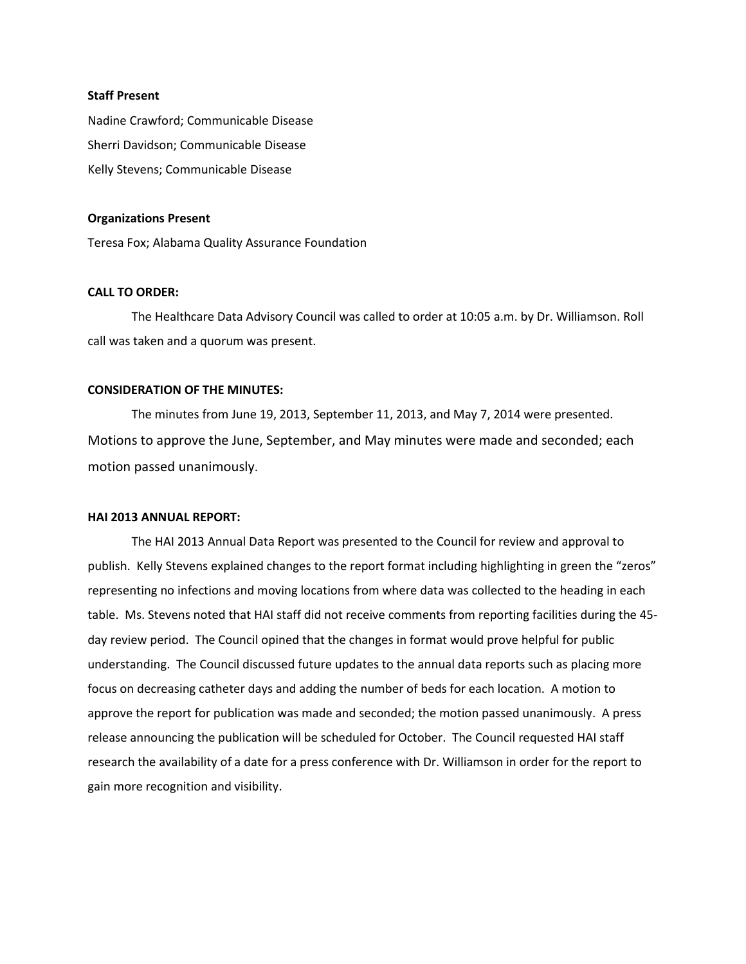# **Staff Present**

Nadine Crawford; Communicable Disease Sherri Davidson; Communicable Disease Kelly Stevens; Communicable Disease

#### **Organizations Present**

Teresa Fox; Alabama Quality Assurance Foundation

# **CALL TO ORDER:**

The Healthcare Data Advisory Council was called to order at 10:05 a.m. by Dr. Williamson. Roll call was taken and a quorum was present.

# **CONSIDERATION OF THE MINUTES:**

The minutes from June 19, 2013, September 11, 2013, and May 7, 2014 were presented. Motions to approve the June, September, and May minutes were made and seconded; each motion passed unanimously.

### **HAI 2013 ANNUAL REPORT:**

The HAI 2013 Annual Data Report was presented to the Council for review and approval to publish. Kelly Stevens explained changes to the report format including highlighting in green the "zeros" representing no infections and moving locations from where data was collected to the heading in each table. Ms. Stevens noted that HAI staff did not receive comments from reporting facilities during the 45 day review period. The Council opined that the changes in format would prove helpful for public understanding. The Council discussed future updates to the annual data reports such as placing more focus on decreasing catheter days and adding the number of beds for each location. A motion to approve the report for publication was made and seconded; the motion passed unanimously. A press release announcing the publication will be scheduled for October. The Council requested HAI staff research the availability of a date for a press conference with Dr. Williamson in order for the report to gain more recognition and visibility.